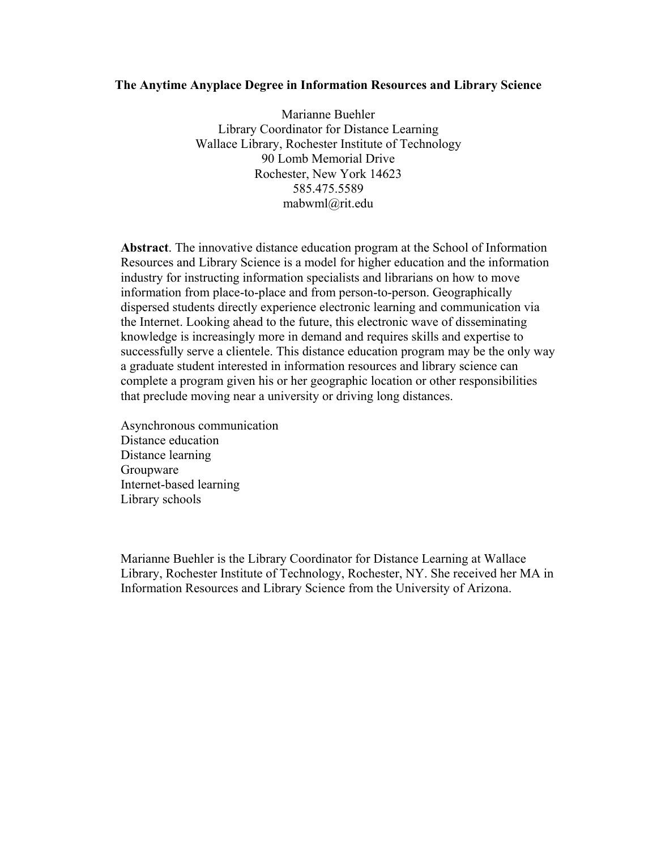## **The Anytime Anyplace Degree in Information Resources and Library Science**

Marianne Buehler Library Coordinator for Distance Learning Wallace Library, Rochester Institute of Technology 90 Lomb Memorial Drive Rochester, New York 14623 585.475.5589 mabwml@rit.edu

 **Abstract**. The innovative distance education program at the School of Information Resources and Library Science is a model for higher education and the information industry for instructing information specialists and librarians on how to move information from place-to-place and from person-to-person. Geographically dispersed students directly experience electronic learning and communication via the Internet. Looking ahead to the future, this electronic wave of disseminating knowledge is increasingly more in demand and requires skills and expertise to successfully serve a clientele. This distance education program may be the only way a graduate student interested in information resources and library science can complete a program given his or her geographic location or other responsibilities that preclude moving near a university or driving long distances.

Asynchronous communication Distance education Distance learning Groupware Internet-based learning Library schools

 Marianne Buehler is the Library Coordinator for Distance Learning at Wallace Library, Rochester Institute of Technology, Rochester, NY. She received her MA in Information Resources and Library Science from the University of Arizona.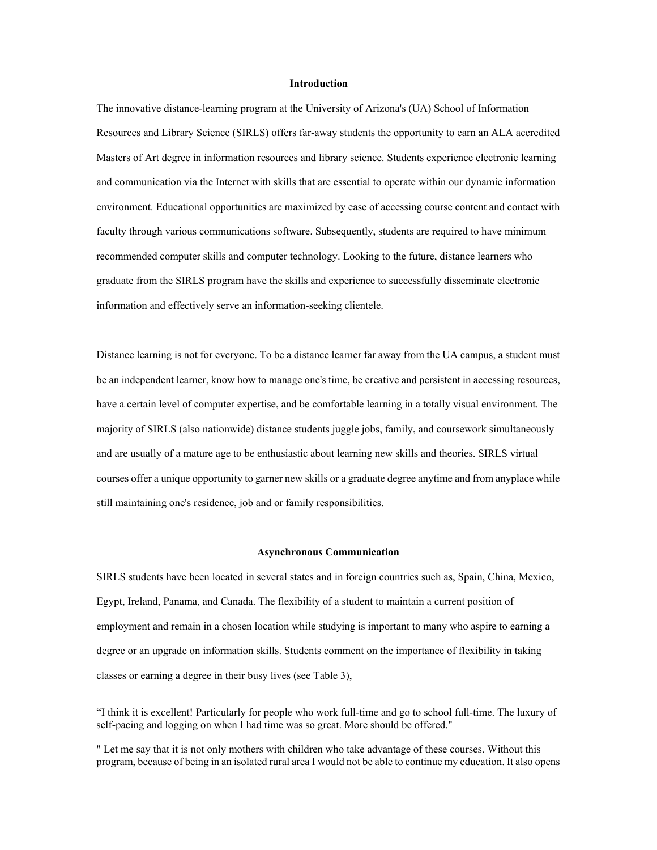### **Introduction**

The innovative distance-learning program at the University of Arizona's (UA) School of Information Resources and Library Science (SIRLS) offers far-away students the opportunity to earn an ALA accredited Masters of Art degree in information resources and library science. Students experience electronic learning and communication via the Internet with skills that are essential to operate within our dynamic information environment. Educational opportunities are maximized by ease of accessing course content and contact with faculty through various communications software. Subsequently, students are required to have minimum recommended computer skills and computer technology. Looking to the future, distance learners who graduate from the SIRLS program have the skills and experience to successfully disseminate electronic information and effectively serve an information-seeking clientele.

Distance learning is not for everyone. To be a distance learner far away from the UA campus, a student must be an independent learner, know how to manage one's time, be creative and persistent in accessing resources, have a certain level of computer expertise, and be comfortable learning in a totally visual environment. The majority of SIRLS (also nationwide) distance students juggle jobs, family, and coursework simultaneously and are usually of a mature age to be enthusiastic about learning new skills and theories. SIRLS virtual courses offer a unique opportunity to garner new skills or a graduate degree anytime and from anyplace while still maintaining one's residence, job and or family responsibilities.

#### **Asynchronous Communication**

SIRLS students have been located in several states and in foreign countries such as, Spain, China, Mexico, Egypt, Ireland, Panama, and Canada. The flexibility of a student to maintain a current position of employment and remain in a chosen location while studying is important to many who aspire to earning a degree or an upgrade on information skills. Students comment on the importance of flexibility in taking classes or earning a degree in their busy lives (see Table 3),

"I think it is excellent! Particularly for people who work full-time and go to school full-time. The luxury of self-pacing and logging on when I had time was so great. More should be offered."

" Let me say that it is not only mothers with children who take advantage of these courses. Without this program, because of being in an isolated rural area I would not be able to continue my education. It also opens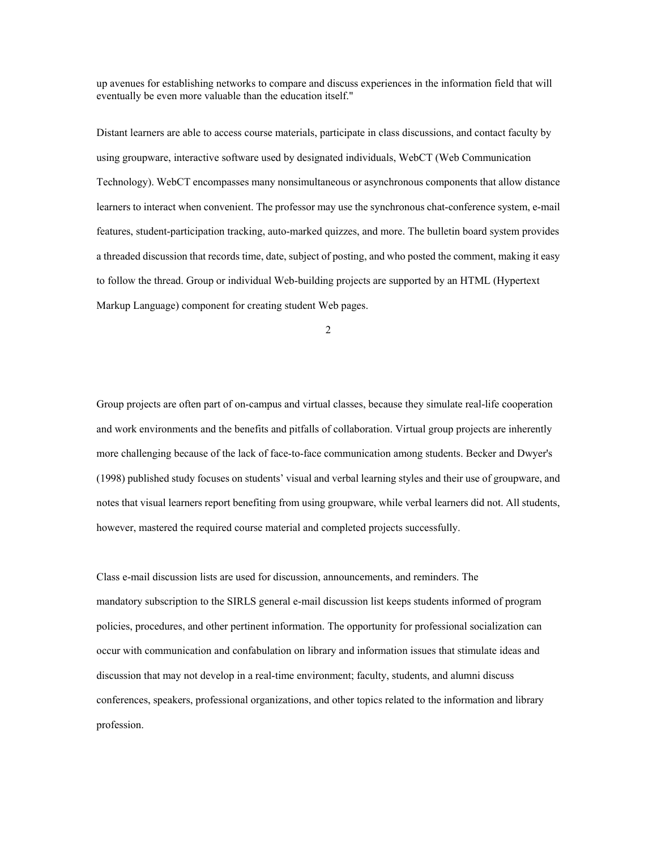up avenues for establishing networks to compare and discuss experiences in the information field that will eventually be even more valuable than the education itself."

Distant learners are able to access course materials, participate in class discussions, and contact faculty by using groupware, interactive software used by designated individuals, WebCT (Web Communication Technology). WebCT encompasses many nonsimultaneous or asynchronous components that allow distance learners to interact when convenient. The professor may use the synchronous chat-conference system, e-mail features, student-participation tracking, auto-marked quizzes, and more. The bulletin board system provides a threaded discussion that records time, date, subject of posting, and who posted the comment, making it easy to follow the thread. Group or individual Web-building projects are supported by an HTML (Hypertext Markup Language) component for creating student Web pages.

2

Group projects are often part of on-campus and virtual classes, because they simulate real-life cooperation and work environments and the benefits and pitfalls of collaboration. Virtual group projects are inherently more challenging because of the lack of face-to-face communication among students. Becker and Dwyer's (1998) published study focuses on students' visual and verbal learning styles and their use of groupware, and notes that visual learners report benefiting from using groupware, while verbal learners did not. All students, however, mastered the required course material and completed projects successfully.

Class e-mail discussion lists are used for discussion, announcements, and reminders. The mandatory subscription to the SIRLS general e-mail discussion list keeps students informed of program policies, procedures, and other pertinent information. The opportunity for professional socialization can occur with communication and confabulation on library and information issues that stimulate ideas and discussion that may not develop in a real-time environment; faculty, students, and alumni discuss conferences, speakers, professional organizations, and other topics related to the information and library profession.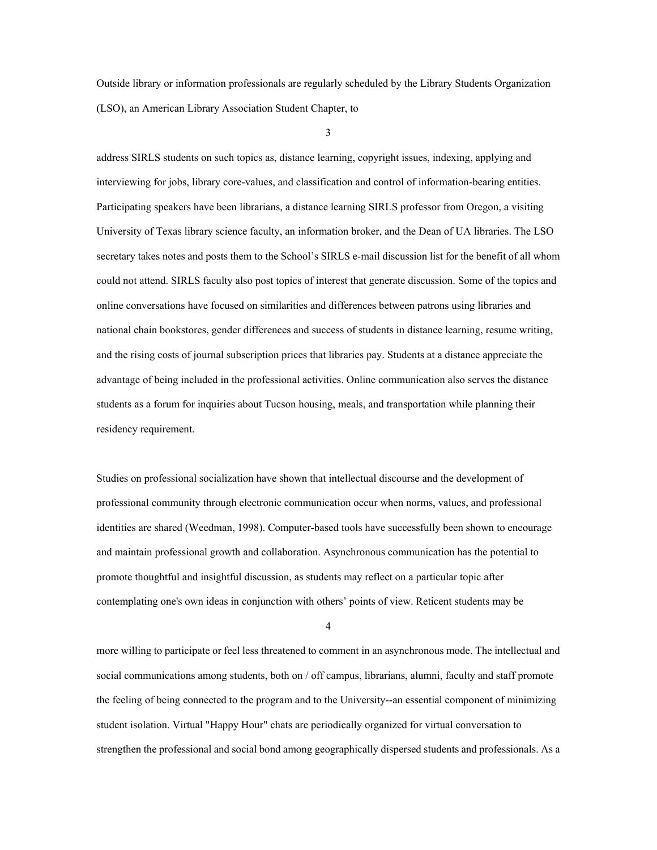Outside library or information professionals are regularly scheduled by the Library Students Organization (LSO), an American Library Association Student Chapter, to

3

address SIRLS students on such topics as, distance learning, copyright issues, indexing, applying and interviewing for jobs, library core-values, and classification and control of information-bearing entities. Participating speakers have been librarians, a distance learning SIRLS professor from Oregon, a visiting University of Texas library science faculty, an information broker, and the Dean of UA libraries. The LSO secretary takes notes and posts them to the School's SIRLS e-mail discussion list for the benefit of all whom could not attend. SIRLS faculty also post topics of interest that generate discussion. Some of the topics and online conversations have focused on similarities and differences between patrons using libraries and national chain bookstores, gender differences and success of students in distance learning, resume writing, and the rising costs of journal subscription prices that libraries pay. Students at a distance appreciate the advantage of being included in the professional activities. Online communication also serves the distance students as a forum for inquiries about Tucson housing, meals, and transportation while planning their residency requirement.

Studies on professional socialization have shown that intellectual discourse and the development of professional community through electronic communication occur when norms, values, and professional identities are shared (Weedman, 1998). Computer-based tools have successfully been shown to encourage and maintain professional growth and collaboration. Asynchronous communication has the potential to promote thoughtful and insightful discussion, as students may reflect on a particular topic after contemplating one's own ideas in conjunction with others' points of view. Reticent students may be

 $\Delta$ 

more willing to participate or feel less threatened to comment in an asynchronous mode. The intellectual and social communications among students, both on / off campus, librarians, alumni, faculty and staff promote the feeling of being connected to the program and to the University--an essential component of minimizing student isolation. Virtual "Happy Hour" chats are periodically organized for virtual conversation to strengthen the professional and social bond among geographically dispersed students and professionals. As a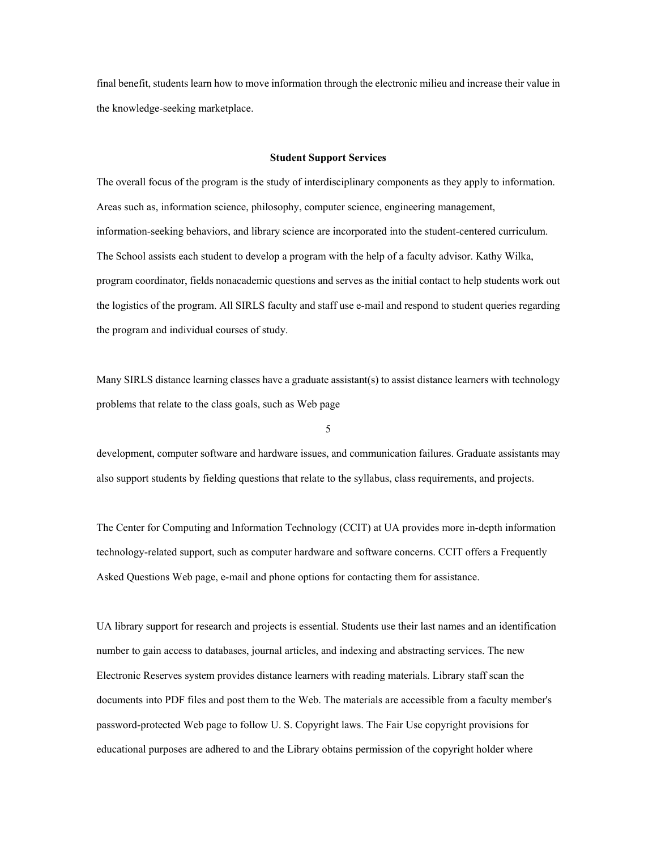final benefit, students learn how to move information through the electronic milieu and increase their value in the knowledge-seeking marketplace.

#### **Student Support Services**

The overall focus of the program is the study of interdisciplinary components as they apply to information. Areas such as, information science, philosophy, computer science, engineering management, information-seeking behaviors, and library science are incorporated into the student-centered curriculum. The School assists each student to develop a program with the help of a faculty advisor. Kathy Wilka, program coordinator, fields nonacademic questions and serves as the initial contact to help students work out the logistics of the program. All SIRLS faculty and staff use e-mail and respond to student queries regarding the program and individual courses of study.

Many SIRLS distance learning classes have a graduate assistant(s) to assist distance learners with technology problems that relate to the class goals, such as Web page

5

development, computer software and hardware issues, and communication failures. Graduate assistants may also support students by fielding questions that relate to the syllabus, class requirements, and projects.

The Center for Computing and Information Technology (CCIT) at UA provides more in-depth information technology-related support, such as computer hardware and software concerns. CCIT offers a Frequently Asked Questions Web page, e-mail and phone options for contacting them for assistance.

UA library support for research and projects is essential. Students use their last names and an identification number to gain access to databases, journal articles, and indexing and abstracting services. The new Electronic Reserves system provides distance learners with reading materials. Library staff scan the documents into PDF files and post them to the Web. The materials are accessible from a faculty member's password-protected Web page to follow U. S. Copyright laws. The Fair Use copyright provisions for educational purposes are adhered to and the Library obtains permission of the copyright holder where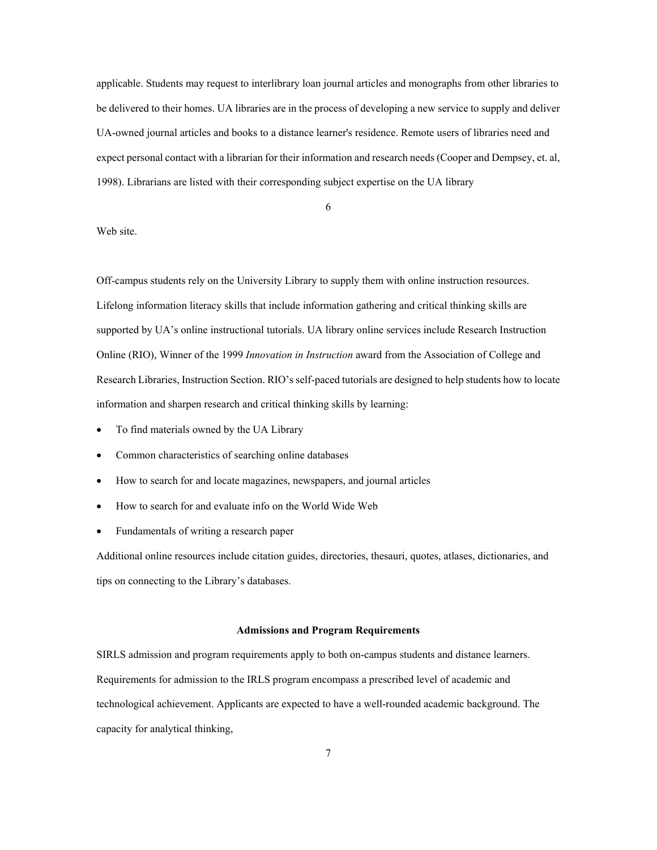applicable. Students may request to interlibrary loan journal articles and monographs from other libraries to be delivered to their homes. UA libraries are in the process of developing a new service to supply and deliver UA-owned journal articles and books to a distance learner's residence. Remote users of libraries need and expect personal contact with a librarian for their information and research needs (Cooper and Dempsey, et. al, 1998). Librarians are listed with their corresponding subject expertise on the UA library

6

## Web site.

Off-campus students rely on the University Library to supply them with online instruction resources. Lifelong information literacy skills that include information gathering and critical thinking skills are supported by UA's online instructional tutorials. UA library online services include Research Instruction Online (RIO), Winner of the 1999 *Innovation in Instruction* award from the Association of College and Research Libraries, Instruction Section. RIO's self-paced tutorials are designed to help students how to locate information and sharpen research and critical thinking skills by learning:

- To find materials owned by the UA Library
- Common characteristics of searching online databases
- How to search for and locate magazines, newspapers, and journal articles
- How to search for and evaluate info on the World Wide Web
- Fundamentals of writing a research paper

Additional online resources include citation guides, directories, thesauri, quotes, atlases, dictionaries, and tips on connecting to the Library's databases.

#### **Admissions and Program Requirements**

SIRLS admission and program requirements apply to both on-campus students and distance learners. Requirements for admission to the IRLS program encompass a prescribed level of academic and technological achievement. Applicants are expected to have a well-rounded academic background. The capacity for analytical thinking,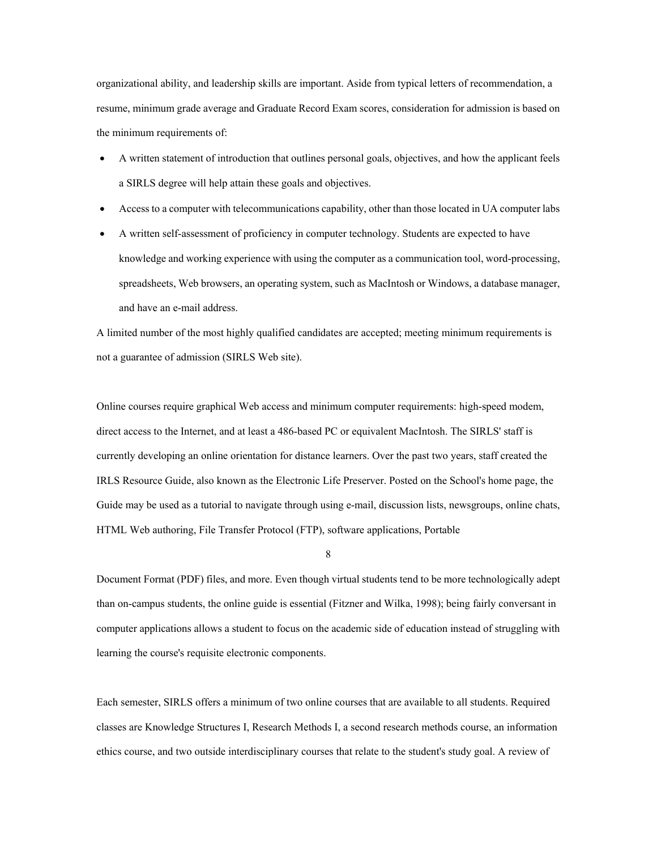organizational ability, and leadership skills are important. Aside from typical letters of recommendation, a resume, minimum grade average and Graduate Record Exam scores, consideration for admission is based on the minimum requirements of:

- A written statement of introduction that outlines personal goals, objectives, and how the applicant feels a SIRLS degree will help attain these goals and objectives.
- Access to a computer with telecommunications capability, other than those located in UA computer labs
- A written self-assessment of proficiency in computer technology. Students are expected to have knowledge and working experience with using the computer as a communication tool, word-processing, spreadsheets, Web browsers, an operating system, such as MacIntosh or Windows, a database manager, and have an e-mail address.

A limited number of the most highly qualified candidates are accepted; meeting minimum requirements is not a guarantee of admission (SIRLS Web site).

Online courses require graphical Web access and minimum computer requirements: high-speed modem, direct access to the Internet, and at least a 486-based PC or equivalent MacIntosh. The SIRLS' staff is currently developing an online orientation for distance learners. Over the past two years, staff created the IRLS Resource Guide, also known as the Electronic Life Preserver. Posted on the School's home page, the Guide may be used as a tutorial to navigate through using e-mail, discussion lists, newsgroups, online chats, HTML Web authoring, File Transfer Protocol (FTP), software applications, Portable

#### 8

Document Format (PDF) files, and more. Even though virtual students tend to be more technologically adept than on-campus students, the online guide is essential (Fitzner and Wilka, 1998); being fairly conversant in computer applications allows a student to focus on the academic side of education instead of struggling with learning the course's requisite electronic components.

Each semester, SIRLS offers a minimum of two online courses that are available to all students. Required classes are Knowledge Structures I, Research Methods I, a second research methods course, an information ethics course, and two outside interdisciplinary courses that relate to the student's study goal. A review of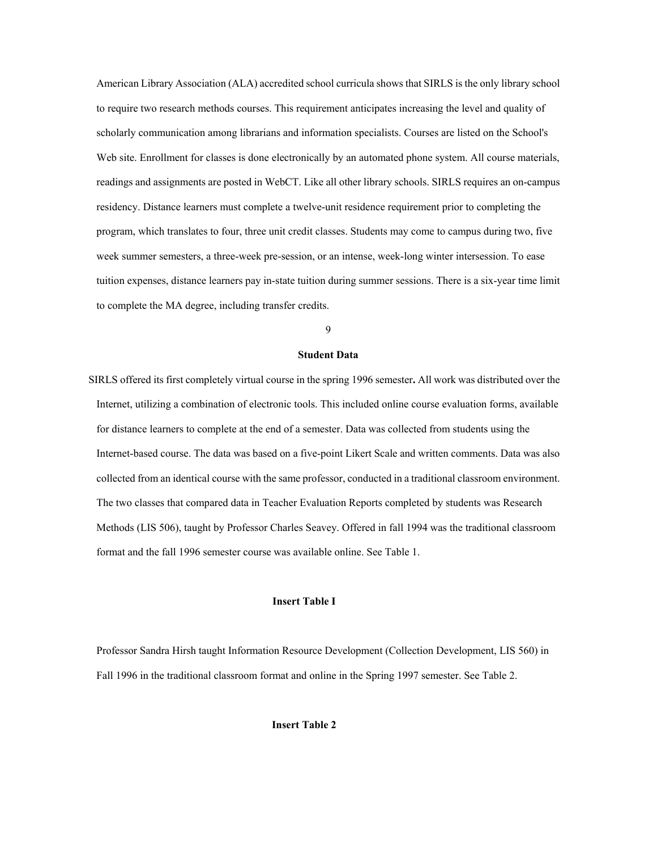American Library Association (ALA) accredited school curricula shows that SIRLS is the only library school to require two research methods courses. This requirement anticipates increasing the level and quality of scholarly communication among librarians and information specialists. Courses are listed on the School's Web site. Enrollment for classes is done electronically by an automated phone system. All course materials, readings and assignments are posted in WebCT. Like all other library schools. SIRLS requires an on-campus residency. Distance learners must complete a twelve-unit residence requirement prior to completing the program, which translates to four, three unit credit classes. Students may come to campus during two, five week summer semesters, a three-week pre-session, or an intense, week-long winter intersession. To ease tuition expenses, distance learners pay in-state tuition during summer sessions. There is a six-year time limit to complete the MA degree, including transfer credits.

9

## **Student Data**

SIRLS offered its first completely virtual course in the spring 1996 semester**.** All work was distributed over the Internet, utilizing a combination of electronic tools. This included online course evaluation forms, available for distance learners to complete at the end of a semester. Data was collected from students using the Internet-based course. The data was based on a five-point Likert Scale and written comments. Data was also collected from an identical course with the same professor, conducted in a traditional classroom environment. The two classes that compared data in Teacher Evaluation Reports completed by students was Research Methods (LIS 506), taught by Professor Charles Seavey. Offered in fall 1994 was the traditional classroom format and the fall 1996 semester course was available online. See Table 1.

## **Insert Table I**

Professor Sandra Hirsh taught Information Resource Development (Collection Development, LIS 560) in Fall 1996 in the traditional classroom format and online in the Spring 1997 semester. See Table 2.

**Insert Table 2**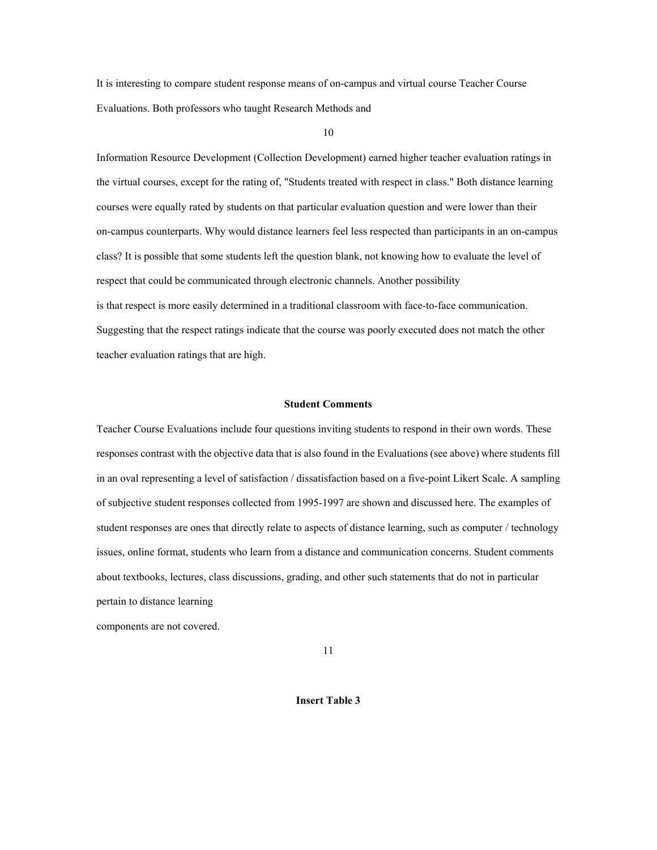It is interesting to compare student response means of on-campus and virtual course Teacher Course Evaluations. Both professors who taught Research Methods and

10

Information Resource Development (Collection Development) earned higher teacher evaluation ratings in the virtual courses, except for the rating of, "Students treated with respect in class." Both distance learning courses were equally rated by students on that particular evaluation question and were lower than their on-campus counterparts. Why would distance learners feel less respected than participants in an on-campus class? It is possible that some students left the question blank, not knowing how to evaluate the level of respect that could be communicated through electronic channels. Another possibility is that respect is more easily determined in a traditional classroom with face-to-face communication. Suggesting that the respect ratings indicate that the course was poorly executed does not match the other teacher evaluation ratings that are high.

#### **Student Comments**

Teacher Course Evaluations include four questions inviting students to respond in their own words. These responses contrast with the objective data that is also found in the Evaluations (see above) where students fill in an oval representing a level of satisfaction / dissatisfaction based on a five-point Likert Scale. A sampling of subjective student responses collected from 1995-1997 are shown and discussed here. The examples of student responses are ones that directly relate to aspects of distance learning, such as computer / technology issues, online format, students who learn from a distance and communication concerns. Student comments about textbooks, lectures, class discussions, grading, and other such statements that do not in particular pertain to distance learning components are not covered.

11

**Insert Table 3**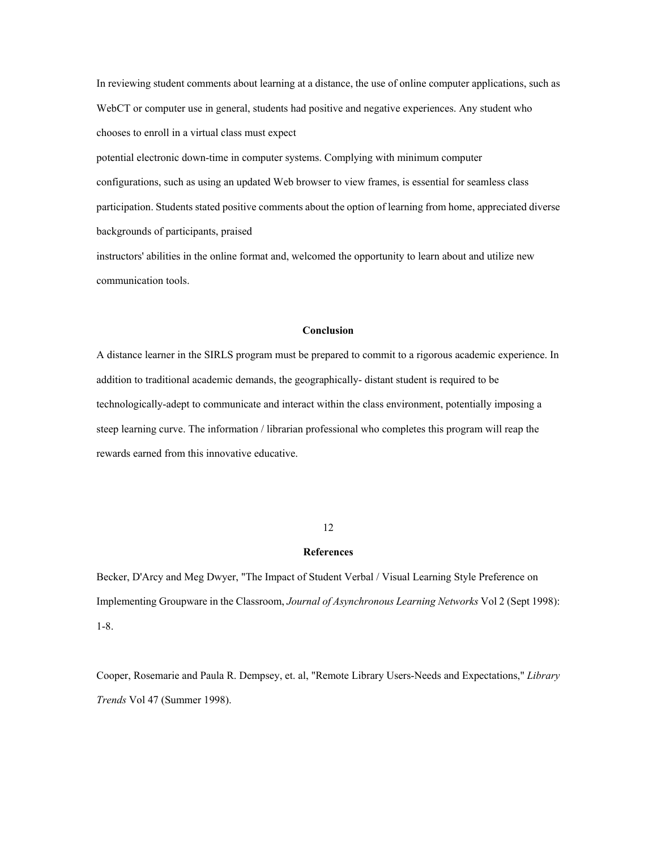In reviewing student comments about learning at a distance, the use of online computer applications, such as WebCT or computer use in general, students had positive and negative experiences. Any student who chooses to enroll in a virtual class must expect

potential electronic down-time in computer systems. Complying with minimum computer configurations, such as using an updated Web browser to view frames, is essential for seamless class participation. Students stated positive comments about the option of learning from home, appreciated diverse backgrounds of participants, praised

instructors' abilities in the online format and, welcomed the opportunity to learn about and utilize new communication tools.

## **Conclusion**

A distance learner in the SIRLS program must be prepared to commit to a rigorous academic experience. In addition to traditional academic demands, the geographically- distant student is required to be technologically-adept to communicate and interact within the class environment, potentially imposing a steep learning curve. The information / librarian professional who completes this program will reap the rewards earned from this innovative educative.

#### 12

#### **References**

Becker, D'Arcy and Meg Dwyer, "The Impact of Student Verbal / Visual Learning Style Preference on Implementing Groupware in the Classroom, *Journal of Asynchronous Learning Networks* Vol 2 (Sept 1998): 1-8.

Cooper, Rosemarie and Paula R. Dempsey, et. al, "Remote Library Users-Needs and Expectations," *Library Trends* Vol 47 (Summer 1998).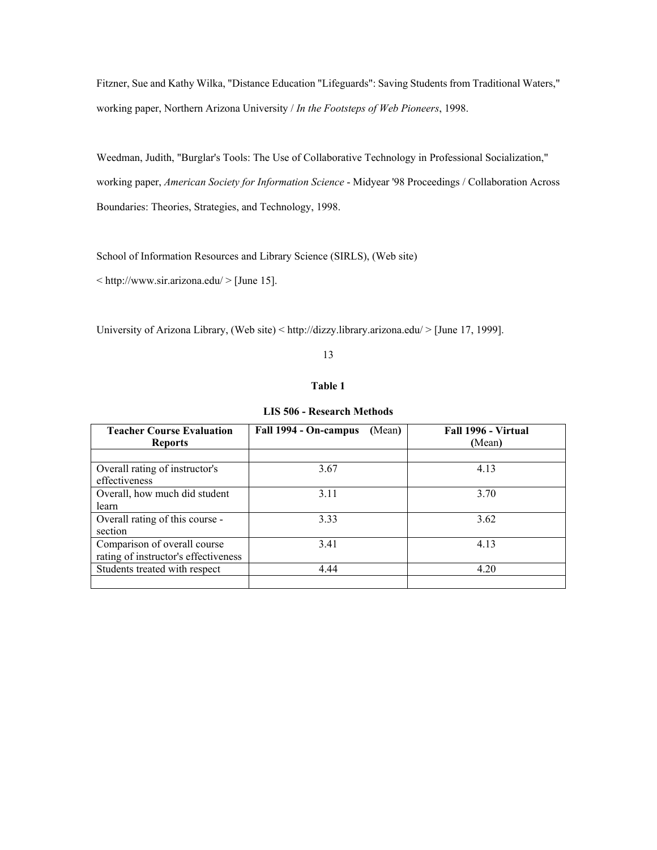Fitzner, Sue and Kathy Wilka, "Distance Education "Lifeguards": Saving Students from Traditional Waters," working paper, Northern Arizona University / *In the Footsteps of Web Pioneers*, 1998.

Weedman, Judith, "Burglar's Tools: The Use of Collaborative Technology in Professional Socialization," working paper, *American Society for Information Science* - Midyear '98 Proceedings / Collaboration Across Boundaries: Theories, Strategies, and Technology, 1998.

School of Information Resources and Library Science (SIRLS), (Web site)

 $\langle \text{http://www.sir.arizona.edu/} \rangle$  [June 15].

University of Arizona Library, (Web site) < http://dizzy.library.arizona.edu/ > [June 17, 1999].

### 13

## **Table 1**

| <b>Teacher Course Evaluation</b><br><b>Reports</b>                   | Fall 1994 - On-campus<br>(Mean) | Fall 1996 - Virtual<br>(Mean) |
|----------------------------------------------------------------------|---------------------------------|-------------------------------|
|                                                                      |                                 |                               |
| Overall rating of instructor's<br>effectiveness                      | 3.67                            | 4.13                          |
| Overall, how much did student<br>learn                               | 3.11                            | 3.70                          |
| Overall rating of this course -<br>section                           | 3.33                            | 3.62                          |
| Comparison of overall course<br>rating of instructor's effectiveness | 3.41                            | 4.13                          |
| Students treated with respect                                        | 4.44                            | 4.20                          |

**LIS 506 - Research Methods**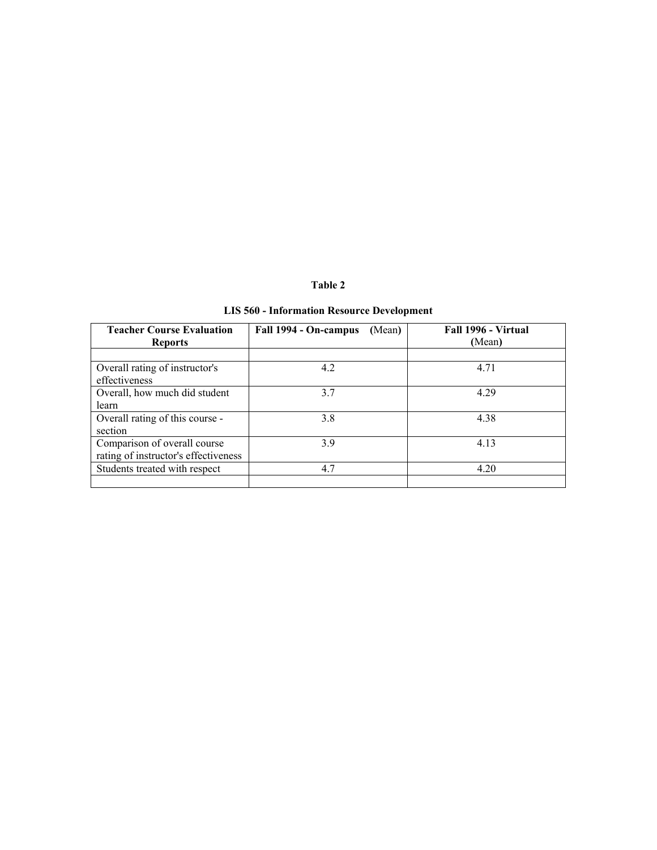## **Table 2**

# **LIS 560 - Information Resource Development**

| <b>Teacher Course Evaluation</b><br><b>Reports</b>                   | Fall 1994 - On-campus<br>(Mean) | Fall 1996 - Virtual<br>(Mean) |
|----------------------------------------------------------------------|---------------------------------|-------------------------------|
|                                                                      |                                 |                               |
| Overall rating of instructor's<br>effectiveness                      | 4.2                             | 4.71                          |
| Overall, how much did student<br>learn                               | 3.7                             | 4.29                          |
| Overall rating of this course -<br>section                           | 3.8                             | 4.38                          |
| Comparison of overall course<br>rating of instructor's effectiveness | 3.9                             | 4.13                          |
| Students treated with respect                                        | 4.7                             | 4.20                          |
|                                                                      |                                 |                               |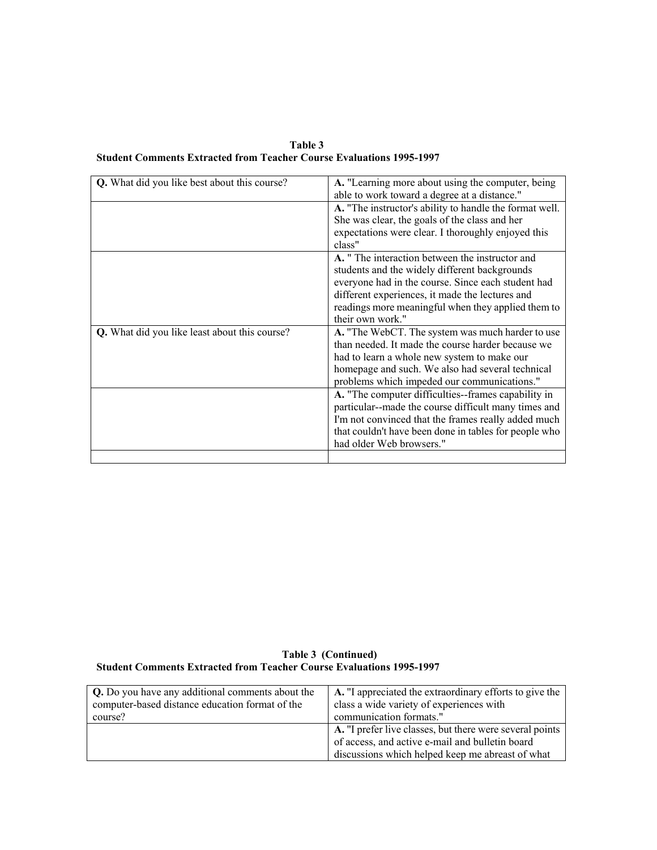**Table 3 Student Comments Extracted from Teacher Course Evaluations 1995-1997** 

| Q. What did you like best about this course?  | A. "Learning more about using the computer, being<br>able to work toward a degree at a distance." |
|-----------------------------------------------|---------------------------------------------------------------------------------------------------|
|                                               | A. "The instructor's ability to handle the format well.                                           |
|                                               | She was clear, the goals of the class and her                                                     |
|                                               | expectations were clear. I thoroughly enjoyed this                                                |
|                                               | class"                                                                                            |
|                                               | A. " The interaction between the instructor and                                                   |
|                                               | students and the widely different backgrounds                                                     |
|                                               | everyone had in the course. Since each student had                                                |
|                                               | different experiences, it made the lectures and                                                   |
|                                               | readings more meaningful when they applied them to                                                |
|                                               | their own work."                                                                                  |
| Q. What did you like least about this course? | A. "The WebCT. The system was much harder to use                                                  |
|                                               | than needed. It made the course harder because we                                                 |
|                                               | had to learn a whole new system to make our                                                       |
|                                               | homepage and such. We also had several technical                                                  |
|                                               | problems which impeded our communications."                                                       |
|                                               | A. "The computer difficulties--frames capability in                                               |
|                                               | particular--made the course difficult many times and                                              |
|                                               | I'm not convinced that the frames really added much                                               |
|                                               | that couldn't have been done in tables for people who                                             |
|                                               | had older Web browsers."                                                                          |
|                                               |                                                                                                   |

 **Table 3 (Continued) Student Comments Extracted from Teacher Course Evaluations 1995-1997**

| Q. Do you have any additional comments about the | A. "I appreciated the extraordinary efforts to give the  |
|--------------------------------------------------|----------------------------------------------------------|
| computer-based distance education format of the  | class a wide variety of experiences with                 |
| course?                                          | communication formats."                                  |
|                                                  | A. "I prefer live classes, but there were several points |
|                                                  | of access, and active e-mail and bulletin board          |
|                                                  | discussions which helped keep me abreast of what         |